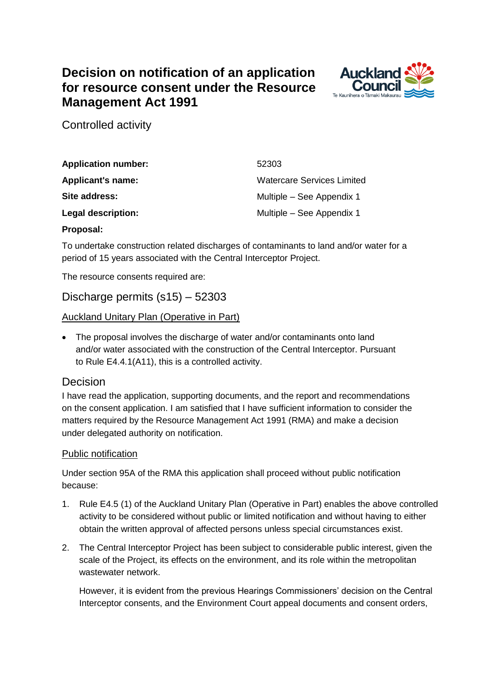# **Decision on notification of an application for resource consent under the Resource Management Act 1991**



Controlled activity

| <b>Application number:</b> | 52303                             |
|----------------------------|-----------------------------------|
| <b>Applicant's name:</b>   | <b>Watercare Services Limited</b> |
| Site address:              | Multiple – See Appendix 1         |
| <b>Legal description:</b>  | Multiple – See Appendix 1         |
|                            |                                   |

### **Proposal:**

To undertake construction related discharges of contaminants to land and/or water for a period of 15 years associated with the Central Interceptor Project.

The resource consents required are:

### Discharge permits (s15) – 52303

### Auckland Unitary Plan (Operative in Part)

• The proposal involves the discharge of water and/or contaminants onto land and/or water associated with the construction of the Central Interceptor. Pursuant to Rule E4.4.1(A11), this is a controlled activity.

### Decision

I have read the application, supporting documents, and the report and recommendations on the consent application. I am satisfied that I have sufficient information to consider the matters required by the Resource Management Act 1991 (RMA) and make a decision under delegated authority on notification.

### Public notification

Under section 95A of the RMA this application shall proceed without public notification because:

- 1. Rule E4.5 (1) of the Auckland Unitary Plan (Operative in Part) enables the above controlled activity to be considered without public or limited notification and without having to either obtain the written approval of affected persons unless special circumstances exist.
- 2. The Central Interceptor Project has been subject to considerable public interest, given the scale of the Project, its effects on the environment, and its role within the metropolitan wastewater network.

However, it is evident from the previous Hearings Commissioners' decision on the Central Interceptor consents, and the Environment Court appeal documents and consent orders,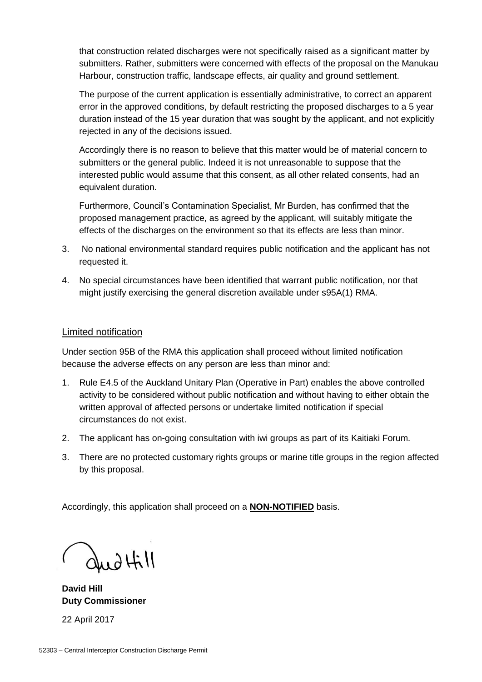that construction related discharges were not specifically raised as a significant matter by submitters. Rather, submitters were concerned with effects of the proposal on the Manukau Harbour, construction traffic, landscape effects, air quality and ground settlement.

The purpose of the current application is essentially administrative, to correct an apparent error in the approved conditions, by default restricting the proposed discharges to a 5 year duration instead of the 15 year duration that was sought by the applicant, and not explicitly rejected in any of the decisions issued.

Accordingly there is no reason to believe that this matter would be of material concern to submitters or the general public. Indeed it is not unreasonable to suppose that the interested public would assume that this consent, as all other related consents, had an equivalent duration.

Furthermore, Council's Contamination Specialist, Mr Burden, has confirmed that the proposed management practice, as agreed by the applicant, will suitably mitigate the effects of the discharges on the environment so that its effects are less than minor.

- 3. No national environmental standard requires public notification and the applicant has not requested it.
- 4. No special circumstances have been identified that warrant public notification, nor that might justify exercising the general discretion available under s95A(1) RMA.

#### Limited notification

Under section 95B of the RMA this application shall proceed without limited notification because the adverse effects on any person are less than minor and:

- 1. Rule E4.5 of the Auckland Unitary Plan (Operative in Part) enables the above controlled activity to be considered without public notification and without having to either obtain the written approval of affected persons or undertake limited notification if special circumstances do not exist.
- 2. The applicant has on-going consultation with iwi groups as part of its Kaitiaki Forum.
- 3. There are no protected customary rights groups or marine title groups in the region affected by this proposal.

Accordingly, this application shall proceed on a **NON-NOTIFIED** basis.

**David Hill Duty Commissioner**

22 April 2017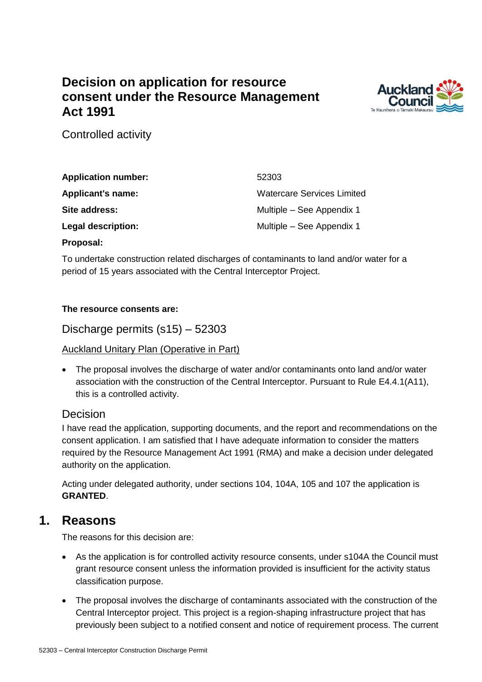## **Decision on application for resource consent under the Resource Management Act 1991**



Controlled activity

| 52303                             |
|-----------------------------------|
| <b>Watercare Services Limited</b> |
| Multiple – See Appendix 1         |
| Multiple – See Appendix 1         |
|                                   |

### **Proposal:**

To undertake construction related discharges of contaminants to land and/or water for a period of 15 years associated with the Central Interceptor Project.

### **The resource consents are:**

### Discharge permits (s15) – 52303

### Auckland Unitary Plan (Operative in Part)

• The proposal involves the discharge of water and/or contaminants onto land and/or water association with the construction of the Central Interceptor. Pursuant to Rule E4.4.1(A11), this is a controlled activity.

### Decision

I have read the application, supporting documents, and the report and recommendations on the consent application. I am satisfied that I have adequate information to consider the matters required by the Resource Management Act 1991 (RMA) and make a decision under delegated authority on the application.

Acting under delegated authority, under sections 104, 104A, 105 and 107 the application is **GRANTED**.

### **1. Reasons**

The reasons for this decision are:

- As the application is for controlled activity resource consents, under s104A the Council must grant resource consent unless the information provided is insufficient for the activity status classification purpose.
- The proposal involves the discharge of contaminants associated with the construction of the Central Interceptor project. This project is a region-shaping infrastructure project that has previously been subject to a notified consent and notice of requirement process. The current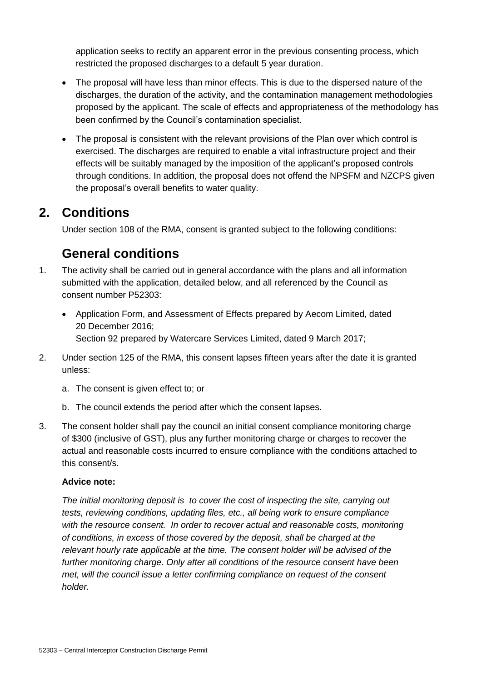application seeks to rectify an apparent error in the previous consenting process, which restricted the proposed discharges to a default 5 year duration.

- The proposal will have less than minor effects. This is due to the dispersed nature of the discharges, the duration of the activity, and the contamination management methodologies proposed by the applicant. The scale of effects and appropriateness of the methodology has been confirmed by the Council's contamination specialist.
- The proposal is consistent with the relevant provisions of the Plan over which control is exercised. The discharges are required to enable a vital infrastructure project and their effects will be suitably managed by the imposition of the applicant's proposed controls through conditions. In addition, the proposal does not offend the NPSFM and NZCPS given the proposal's overall benefits to water quality.

### **2. Conditions**

Under section 108 of the RMA, consent is granted subject to the following conditions:

# **General conditions**

- 1. The activity shall be carried out in general accordance with the plans and all information submitted with the application, detailed below, and all referenced by the Council as consent number P52303:
	- Application Form, and Assessment of Effects prepared by Aecom Limited, dated 20 December 2016; Section 92 prepared by Watercare Services Limited, dated 9 March 2017;
- 2. Under section 125 of the RMA, this consent lapses fifteen years after the date it is granted unless:
	- a. The consent is given effect to; or
	- b. The council extends the period after which the consent lapses.
- 3. The consent holder shall pay the council an initial consent compliance monitoring charge of \$300 (inclusive of GST), plus any further monitoring charge or charges to recover the actual and reasonable costs incurred to ensure compliance with the conditions attached to this consent/s.

### **Advice note:**

*The initial monitoring deposit is to cover the cost of inspecting the site, carrying out tests, reviewing conditions, updating files, etc., all being work to ensure compliance with the resource consent. In order to recover actual and reasonable costs, monitoring of conditions, in excess of those covered by the deposit, shall be charged at the relevant hourly rate applicable at the time. The consent holder will be advised of the further monitoring charge. Only after all conditions of the resource consent have been met, will the council issue a letter confirming compliance on request of the consent holder.*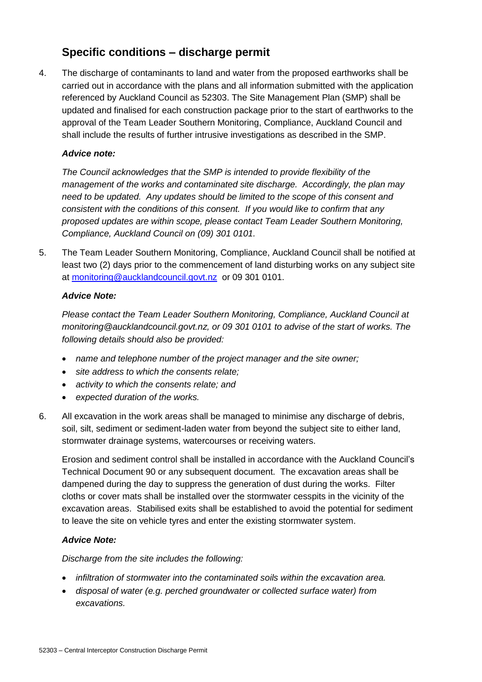### **Specific conditions – discharge permit**

4. The discharge of contaminants to land and water from the proposed earthworks shall be carried out in accordance with the plans and all information submitted with the application referenced by Auckland Council as 52303. The Site Management Plan (SMP) shall be updated and finalised for each construction package prior to the start of earthworks to the approval of the Team Leader Southern Monitoring, Compliance, Auckland Council and shall include the results of further intrusive investigations as described in the SMP.

### *Advice note:*

*The Council acknowledges that the SMP is intended to provide flexibility of the management of the works and contaminated site discharge. Accordingly, the plan may need to be updated. Any updates should be limited to the scope of this consent and consistent with the conditions of this consent. If you would like to confirm that any proposed updates are within scope, please contact Team Leader Southern Monitoring, Compliance, Auckland Council on (09) 301 0101.*

5. The Team Leader Southern Monitoring, Compliance, Auckland Council shall be notified at least two (2) days prior to the commencement of land disturbing works on any subject site at [monitoring@aucklandcouncil.govt.nz](mailto:monitoring@aucklandcouncil.govt.nz) or 09 301 0101.

### *Advice Note:*

*Please contact the Team Leader Southern Monitoring, Compliance, Auckland Council at monitoring@aucklandcouncil.govt.nz, or 09 301 0101 to advise of the start of works. The following details should also be provided:* 

- *name and telephone number of the project manager and the site owner;*
- *site address to which the consents relate;*
- *activity to which the consents relate; and*
- *expected duration of the works.*
- 6. All excavation in the work areas shall be managed to minimise any discharge of debris, soil, silt, sediment or sediment-laden water from beyond the subject site to either land, stormwater drainage systems, watercourses or receiving waters.

Erosion and sediment control shall be installed in accordance with the Auckland Council's Technical Document 90 or any subsequent document. The excavation areas shall be dampened during the day to suppress the generation of dust during the works. Filter cloths or cover mats shall be installed over the stormwater cesspits in the vicinity of the excavation areas. Stabilised exits shall be established to avoid the potential for sediment to leave the site on vehicle tyres and enter the existing stormwater system.

### *Advice Note:*

*Discharge from the site includes the following:*

- *infiltration of stormwater into the contaminated soils within the excavation area.*
- *disposal of water (e.g. perched groundwater or collected surface water) from excavations.*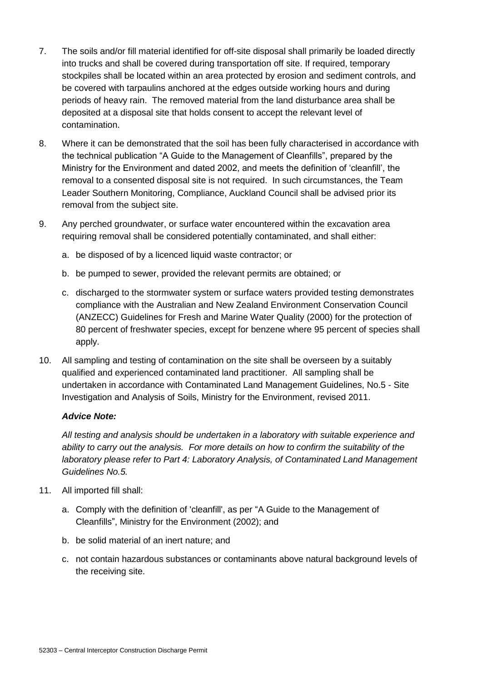- 7. The soils and/or fill material identified for off-site disposal shall primarily be loaded directly into trucks and shall be covered during transportation off site. If required, temporary stockpiles shall be located within an area protected by erosion and sediment controls, and be covered with tarpaulins anchored at the edges outside working hours and during periods of heavy rain. The removed material from the land disturbance area shall be deposited at a disposal site that holds consent to accept the relevant level of contamination.
- 8. Where it can be demonstrated that the soil has been fully characterised in accordance with the technical publication "A Guide to the Management of Cleanfills", prepared by the Ministry for the Environment and dated 2002, and meets the definition of 'cleanfill', the removal to a consented disposal site is not required. In such circumstances, the Team Leader Southern Monitoring, Compliance, Auckland Council shall be advised prior its removal from the subject site.
- 9. Any perched groundwater, or surface water encountered within the excavation area requiring removal shall be considered potentially contaminated, and shall either:
	- a. be disposed of by a licenced liquid waste contractor; or
	- b. be pumped to sewer, provided the relevant permits are obtained; or
	- c. discharged to the stormwater system or surface waters provided testing demonstrates compliance with the Australian and New Zealand Environment Conservation Council (ANZECC) Guidelines for Fresh and Marine Water Quality (2000) for the protection of 80 percent of freshwater species, except for benzene where 95 percent of species shall apply.
- 10. All sampling and testing of contamination on the site shall be overseen by a suitably qualified and experienced contaminated land practitioner. All sampling shall be undertaken in accordance with Contaminated Land Management Guidelines, No.5 - Site Investigation and Analysis of Soils, Ministry for the Environment, revised 2011.

#### *Advice Note:*

*All testing and analysis should be undertaken in a laboratory with suitable experience and ability to carry out the analysis. For more details on how to confirm the suitability of the laboratory please refer to Part 4: Laboratory Analysis, of Contaminated Land Management Guidelines No.5.*

- 11. All imported fill shall:
	- a. Comply with the definition of 'cleanfill', as per "A Guide to the Management of Cleanfills", Ministry for the Environment (2002); and
	- b. be solid material of an inert nature; and
	- c. not contain hazardous substances or contaminants above natural background levels of the receiving site.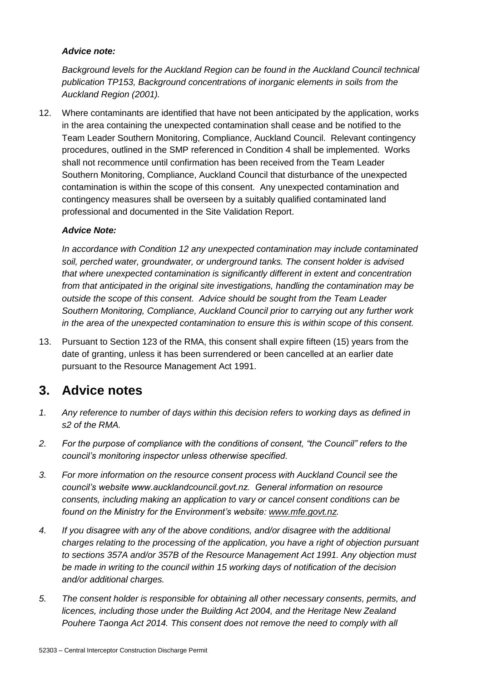#### *Advice note:*

*Background levels for the Auckland Region can be found in the Auckland Council technical publication TP153, Background concentrations of inorganic elements in soils from the Auckland Region (2001).* 

12. Where contaminants are identified that have not been anticipated by the application, works in the area containing the unexpected contamination shall cease and be notified to the Team Leader Southern Monitoring, Compliance, Auckland Council. Relevant contingency procedures, outlined in the SMP referenced in Condition 4 shall be implemented. Works shall not recommence until confirmation has been received from the Team Leader Southern Monitoring, Compliance, Auckland Council that disturbance of the unexpected contamination is within the scope of this consent. Any unexpected contamination and contingency measures shall be overseen by a suitably qualified contaminated land professional and documented in the Site Validation Report.

### *Advice Note:*

*In accordance with Condition 12 any unexpected contamination may include contaminated soil, perched water, groundwater, or underground tanks. The consent holder is advised that where unexpected contamination is significantly different in extent and concentration from that anticipated in the original site investigations, handling the contamination may be outside the scope of this consent. Advice should be sought from the Team Leader Southern Monitoring, Compliance, Auckland Council prior to carrying out any further work in the area of the unexpected contamination to ensure this is within scope of this consent.*

13. Pursuant to Section 123 of the RMA, this consent shall expire fifteen (15) years from the date of granting, unless it has been surrendered or been cancelled at an earlier date pursuant to the Resource Management Act 1991.

### **3. Advice notes**

- *1. Any reference to number of days within this decision refers to working days as defined in s2 of the RMA.*
- *2. For the purpose of compliance with the conditions of consent, "the Council" refers to the council's monitoring inspector unless otherwise specified.*
- *3. For more information on the resource consent process with Auckland Council see the council's website www.aucklandcouncil.govt.nz. General information on resource consents, including making an application to vary or cancel consent conditions can be found on the Ministry for the Environment's website: [www.mfe.govt.nz.](http://www.mfe.govt.nz/)*
- *4. If you disagree with any of the above conditions, and/or disagree with the additional charges relating to the processing of the application, you have a right of objection pursuant to sections 357A and/or 357B of the Resource Management Act 1991. Any objection must be made in writing to the council within 15 working days of notification of the decision and/or additional charges.*
- *5. The consent holder is responsible for obtaining all other necessary consents, permits, and licences, including those under the Building Act 2004, and the Heritage New Zealand Pouhere Taonga Act 2014. This consent does not remove the need to comply with all*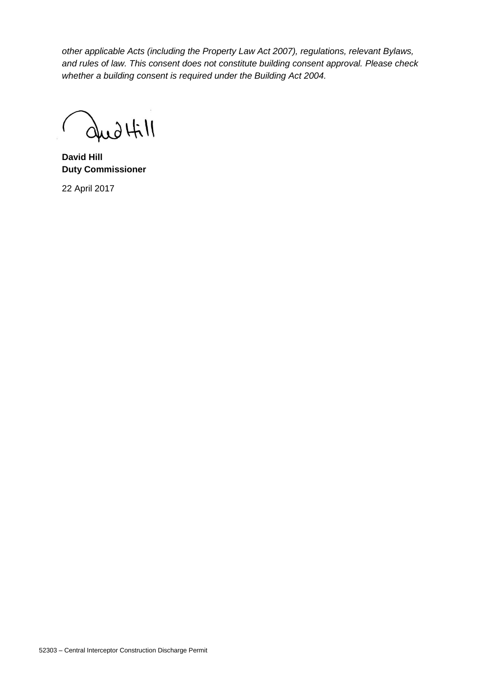*other applicable Acts (including the Property Law Act 2007), regulations, relevant Bylaws, and rules of law. This consent does not constitute building consent approval. Please check whether a building consent is required under the Building Act 2004.*

dud Hill

**David Hill Duty Commissioner**

22 April 2017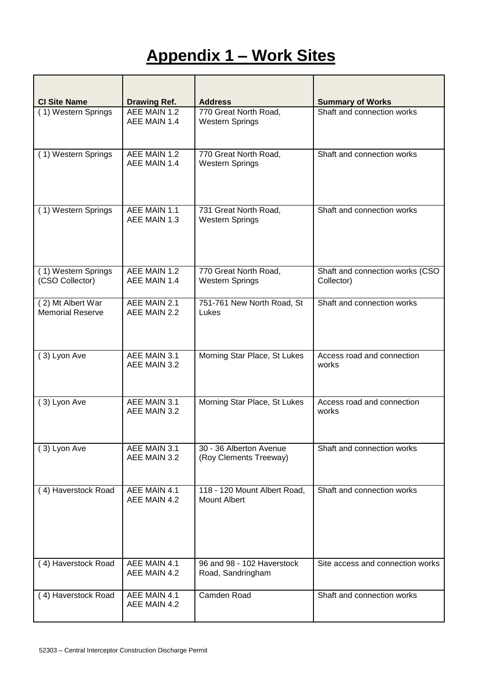# **Appendix 1 – Work Sites**

| <b>CI Site Name</b>                          | <b>Drawing Ref.</b>          | <b>Address</b>                                      | <b>Summary of Works</b>                       |
|----------------------------------------------|------------------------------|-----------------------------------------------------|-----------------------------------------------|
| (1) Western Springs                          | AEE MAIN 1.2<br>AEE MAIN 1.4 | 770 Great North Road,<br><b>Western Springs</b>     | Shaft and connection works                    |
| (1) Western Springs                          | AEE MAIN 1.2<br>AEE MAIN 1.4 | 770 Great North Road,<br><b>Western Springs</b>     | Shaft and connection works                    |
| (1) Western Springs                          | AEE MAIN 1.1<br>AEE MAIN 1.3 | 731 Great North Road,<br><b>Western Springs</b>     | Shaft and connection works                    |
| (1) Western Springs<br>(CSO Collector)       | AEE MAIN 1.2<br>AEE MAIN 1.4 | 770 Great North Road,<br><b>Western Springs</b>     | Shaft and connection works (CSO<br>Collector) |
| (2) Mt Albert War<br><b>Memorial Reserve</b> | AEE MAIN 2.1<br>AEE MAIN 2.2 | 751-761 New North Road, St<br>Lukes                 | Shaft and connection works                    |
| (3) Lyon Ave                                 | AEE MAIN 3.1<br>AEE MAIN 3.2 | Morning Star Place, St Lukes                        | Access road and connection<br>works           |
| (3) Lyon Ave                                 | AEE MAIN 3.1<br>AEE MAIN 3.2 | Morning Star Place, St Lukes                        | Access road and connection<br>works           |
| (3) Lyon Ave                                 | AEE MAIN 3.1<br>AEE MAIN 3.2 | 30 - 36 Alberton Avenue<br>(Roy Clements Treeway)   | Shaft and connection works                    |
| (4) Haverstock Road                          | AEE MAIN 4.1<br>AEE MAIN 4.2 | 118 - 120 Mount Albert Road,<br><b>Mount Albert</b> | Shaft and connection works                    |
| (4) Haverstock Road                          | AEE MAIN 4.1<br>AEE MAIN 4.2 | 96 and 98 - 102 Haverstock<br>Road, Sandringham     | Site access and connection works              |
| (4) Haverstock Road                          | AEE MAIN 4.1<br>AEE MAIN 4.2 | Camden Road                                         | Shaft and connection works                    |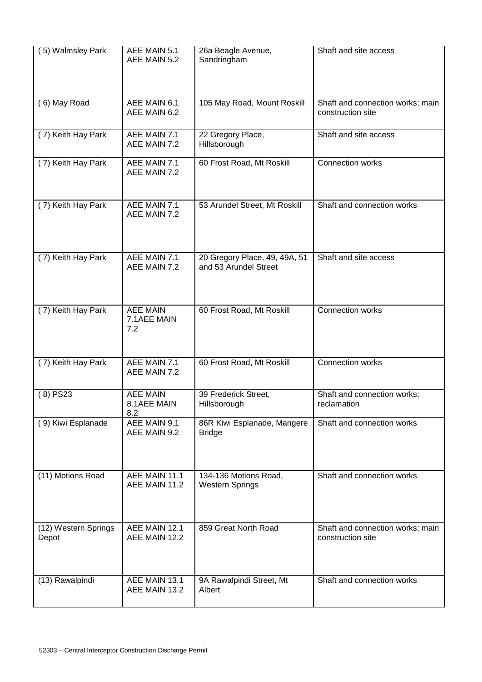| (5) Walmsley Park             | AEE MAIN 5.1<br>AEE MAIN 5.2          | 26a Beagle Avenue,<br>Sandringham                      | Shaft and site access                                 |
|-------------------------------|---------------------------------------|--------------------------------------------------------|-------------------------------------------------------|
| (6) May Road                  | AEE MAIN 6.1<br>AEE MAIN 6.2          | 105 May Road, Mount Roskill                            | Shaft and connection works; main<br>construction site |
| (7) Keith Hay Park            | AEE MAIN 7.1<br>AEE MAIN 7.2          | 22 Gregory Place,<br>Hillsborough                      | Shaft and site access                                 |
| (7) Keith Hay Park            | AEE MAIN 7.1<br>AEE MAIN 7.2          | 60 Frost Road, Mt Roskill                              | Connection works                                      |
| (7) Keith Hay Park            | AEE MAIN 7.1<br>AEE MAIN 7.2          | 53 Arundel Street, Mt Roskill                          | Shaft and connection works                            |
| (7) Keith Hay Park            | AEE MAIN 7.1<br>AEE MAIN 7.2          | 20 Gregory Place, 49, 49A, 51<br>and 53 Arundel Street | Shaft and site access                                 |
| (7) Keith Hay Park            | <b>AEE MAIN</b><br>7.1AEE MAIN<br>7.2 | 60 Frost Road, Mt Roskill                              | Connection works                                      |
| (7) Keith Hay Park            | AEE MAIN 7.1<br>AEE MAIN 7.2          | 60 Frost Road, Mt Roskill                              | Connection works                                      |
| $(8)$ PS23                    | <b>AEE MAIN</b><br>8.1AEE MAIN<br>8.2 | 39 Frederick Street,<br>Hillsborough                   | Shaft and connection works;<br>reclamation            |
| (9) Kiwi Esplanade            | AEE MAIN 9.1<br>AEE MAIN 9.2          | 86R Kiwi Esplanade, Mangere<br><b>Bridge</b>           | Shaft and connection works                            |
| (11) Motions Road             | AEE MAIN 11.1<br>AEE MAIN 11.2        | 134-136 Motions Road,<br><b>Western Springs</b>        | Shaft and connection works                            |
| (12) Western Springs<br>Depot | AEE MAIN 12.1<br>AEE MAIN 12.2        | 859 Great North Road                                   | Shaft and connection works; main<br>construction site |
| (13) Rawalpindi               | AEE MAIN 13.1<br>AEE MAIN 13.2        | 9A Rawalpindi Street, Mt<br>Albert                     | Shaft and connection works                            |